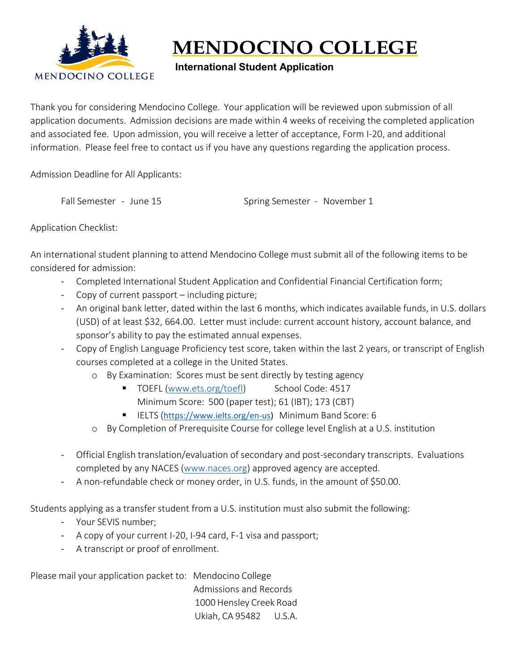

## **MENDOCINO COLLEGE**

## **International Student Application**

Thank you for considering Mendocino College. Your application will be reviewed upon submission of all application documents. Admission decisions are made within 4 weeks of receiving the completed application and associated fee. Upon admission, you will receive a letter of acceptance, Form I-20, and additional information. Please feel free to contact us if you have any questions regarding the application process.

Admission Deadline for All Applicants:

Fall Semester - June 15 Spring Semester - November 1

Application Checklist:

An international student planning to attend Mendocino College must submit all of the following items to be considered for admission:

- Completed International Student Application and Confidential Financial Certification form;
- Copy of current passport including picture;
- An original bank letter, dated within the last 6 months, which indicates available funds, in U.S. dollars (USD) of at least \$32, 664.00. Letter must include: current account history, account balance, and sponsor's ability to pay the estimated annual expenses.
- Copy of English Language Proficiency test score, taken within the last 2 years, or transcript of English courses completed at a college in the United States.
	- o By Examination: Scores must be sent directly by testing agency
		- TOEFL [\(www.ets.org/toefl\)](http://www.ets.org/toefl) School Code: 4517 Minimum Score: 500 (paper test); 61 (IBT); 173 (CBT)
		- IELTS ([https://www.ielts.org/en-us\)](https://www.ielts.org/en-us) Minimum Band Score: 6
	- o By Completion of Prerequisite Course for college level English at a U.S. institution
- Official English translation/evaluation of secondary and post-secondary transcripts. Evaluations completed by any NACES [\(www.naces.org\)](http://www.naces.org/) approved agency are accepted.
- A non-refundable check or money order, in U.S. funds, in the amount of \$50.00.

Students applying as a transfer student from a U.S. institution must also submit the following:

- Your SEVIS number;
- A copy of your current I-20, I-94 card, F-1 visa and passport;
- A transcript or proof of enrollment.

Please mail your application packet to: Mendocino College Admissions and Records 1000 Hensley Creek Road Ukiah, CA 95482 U.S.A.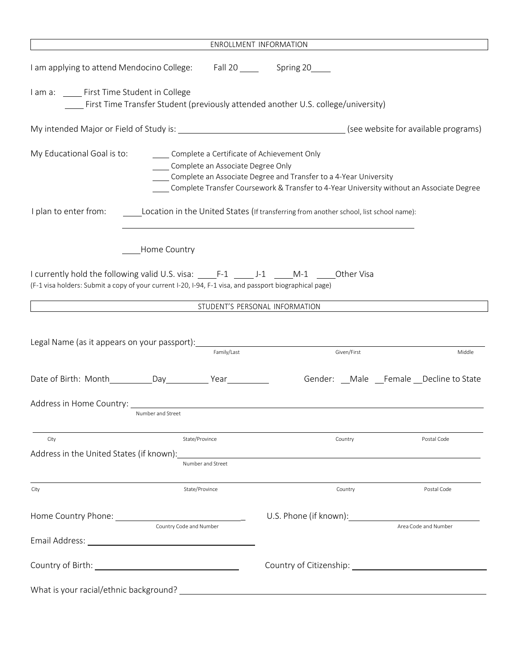| ENROLLMENT INFORMATION                                                                                                                                                                                |                         |                                   |                                                                                                                                                                                                            |                                            |                      |
|-------------------------------------------------------------------------------------------------------------------------------------------------------------------------------------------------------|-------------------------|-----------------------------------|------------------------------------------------------------------------------------------------------------------------------------------------------------------------------------------------------------|--------------------------------------------|----------------------|
| I am applying to attend Mendocino College: Fall 20 _____ Spring 20                                                                                                                                    |                         |                                   |                                                                                                                                                                                                            |                                            |                      |
| I am a: ______ First Time Student in College                                                                                                                                                          |                         |                                   | First Time Transfer Student (previously attended another U.S. college/university)                                                                                                                          |                                            |                      |
|                                                                                                                                                                                                       |                         |                                   |                                                                                                                                                                                                            |                                            |                      |
| My Educational Goal is to:                                                                                                                                                                            |                         | Complete an Associate Degree Only | Complete a Certificate of Achievement Only<br>Complete an Associate Degree and Transfer to a 4-Year University<br>Complete Transfer Coursework & Transfer to 4-Year University without an Associate Degree |                                            |                      |
| I plan to enter from:                                                                                                                                                                                 |                         |                                   | Location in the United States (If transferring from another school, list school name):                                                                                                                     |                                            |                      |
|                                                                                                                                                                                                       | Home Country            |                                   |                                                                                                                                                                                                            |                                            |                      |
| I currently hold the following valid U.S. visa: F-1 ______ J-1 ______ M-1 ______ Other Visa<br>(F-1 visa holders: Submit a copy of your current I-20, I-94, F-1 visa, and passport biographical page) |                         |                                   |                                                                                                                                                                                                            |                                            |                      |
|                                                                                                                                                                                                       |                         |                                   | STUDENT'S PERSONAL INFORMATION                                                                                                                                                                             |                                            |                      |
|                                                                                                                                                                                                       |                         | Family/Last                       | Given/First                                                                                                                                                                                                |                                            | Middle               |
| Date of Birth: Month Day Day Year                                                                                                                                                                     |                         |                                   |                                                                                                                                                                                                            | Gender: __Male __Female __Decline to State |                      |
|                                                                                                                                                                                                       | Number and Street       |                                   |                                                                                                                                                                                                            |                                            |                      |
| City                                                                                                                                                                                                  | State/Province          |                                   | Country                                                                                                                                                                                                    |                                            | Postal Code          |
| Address in the United States (if known):                                                                                                                                                              |                         | Number and Street                 |                                                                                                                                                                                                            |                                            |                      |
| City                                                                                                                                                                                                  | State/Province          |                                   | Country                                                                                                                                                                                                    |                                            | Postal Code          |
|                                                                                                                                                                                                       | Country Code and Number |                                   |                                                                                                                                                                                                            |                                            | Area Code and Number |
|                                                                                                                                                                                                       |                         |                                   |                                                                                                                                                                                                            |                                            |                      |
|                                                                                                                                                                                                       |                         |                                   | Country of Citizenship: Country of Citizenship:                                                                                                                                                            |                                            |                      |
| What is your racial/ethnic background?                                                                                                                                                                |                         |                                   | <u> 1989 - Andrea Barbara, política española (h. 1989).</u>                                                                                                                                                |                                            |                      |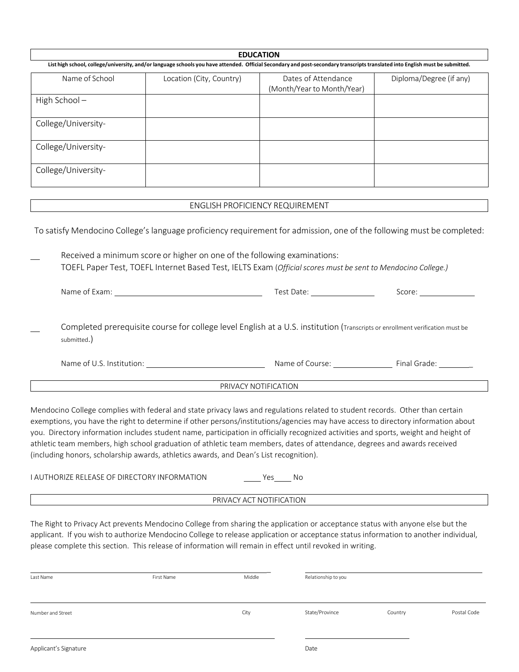| <b>EDUCATION</b>                                                                                                                                                              |                          |                                                   |                         |  |  |
|-------------------------------------------------------------------------------------------------------------------------------------------------------------------------------|--------------------------|---------------------------------------------------|-------------------------|--|--|
| List high school, college/university, and/or language schools you have attended. Official Secondary and post-secondary transcripts translated into English must be submitted. |                          |                                                   |                         |  |  |
| Name of School                                                                                                                                                                | Location (City, Country) | Dates of Attendance<br>(Month/Year to Month/Year) | Diploma/Degree (if any) |  |  |
| High School-                                                                                                                                                                  |                          |                                                   |                         |  |  |
| College/University-                                                                                                                                                           |                          |                                                   |                         |  |  |
| College/University-                                                                                                                                                           |                          |                                                   |                         |  |  |
| College/University-                                                                                                                                                           |                          |                                                   |                         |  |  |
|                                                                                                                                                                               |                          |                                                   |                         |  |  |
| <b>ENGLISH PROFICIENCY REQUIREMENT</b>                                                                                                                                        |                          |                                                   |                         |  |  |
|                                                                                                                                                                               |                          |                                                   |                         |  |  |

To satisfy Mendocino College's language proficiency requirement for admission, one of the following must be completed:

Received a minimum score or higher on one of the following examinations: TOEFL Paper Test, TOEFL Internet Based Test, IELTS Exam (*Official scores must be sent to Mendocino College.)*

Name of Exam: Score: Score: Score: Score: Score: Score: Score: Score: Score: Score: Score: Score: Score: Score: Score: Score: Score: Score: Score: Score: Score: Score: Score: Score: Score: Score: Score: Score: Score: Score

Completed prerequisite course for college level English at a U.S. institution (Transcripts or enrollment verification must be submitted.)

Name of U.S. Institution: Name of Course: Final Grade: \_

PRIVACY NOTIFICATION

Mendocino College complies with federal and state privacy laws and regulations related to student records. Other than certain exemptions, you have the right to determine if other persons/institutions/agencies may have access to directory information about you. Directory information includes student name, participation in officially recognized activities and sports, weight and height of athletic team members, high school graduation of athletic team members, dates of attendance, degrees and awards received (including honors, scholarship awards, athletics awards, and Dean's List recognition).

I AUTHORIZE RELEASE OF DIRECTORY INFORMATION Yes No

PRIVACY ACT NOTIFICATION

The Right to Privacy Act prevents Mendocino College from sharing the application or acceptance status with anyone else but the applicant. If you wish to authorize Mendocino College to release application or acceptance status information to another individual, please complete this section. This release of information will remain in effect until revoked in writing.

| Last Name             | First Name | Middle | Relationship to you |         |             |
|-----------------------|------------|--------|---------------------|---------|-------------|
| Number and Street     |            | City   | State/Province      | Country | Postal Code |
| Applicant's Signature |            |        | Date                |         |             |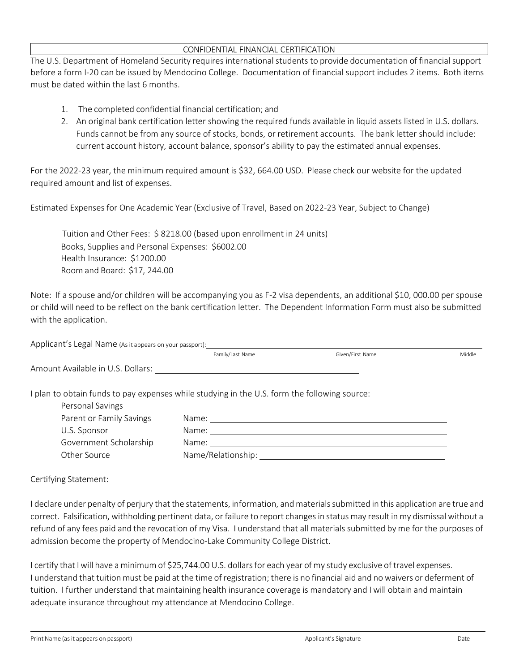## CONFIDENTIAL FINANCIAL CERTIFICATION

The U.S. Department of Homeland Security requires international students to provide documentation of financial support before a form I-20 can be issued by Mendocino College. Documentation of financial support includes 2 items. Both items must be dated within the last 6 months.

- 1. The completed confidential financial certification; and
- 2. An original bank certification letter showing the required funds available in liquid assets listed in U.S. dollars. Funds cannot be from any source of stocks, bonds, or retirement accounts. The bank letter should include: current account history, account balance, sponsor's ability to pay the estimated annual expenses.

For the 2022-23 year, the minimum required amount is \$32, 664.00 USD. Please check our website for the updated required amount and list of expenses.

Estimated Expenses for One Academic Year (Exclusive of Travel, Based on 2022-23 Year, Subject to Change)

 Tuition and Other Fees: \$ 8218.00 (based upon enrollment in 24 units) Books, Supplies and Personal Expenses: \$6002.00 Health Insurance: \$1200.00 Room and Board: \$17, 244.00

Note: If a spouse and/or children will be accompanying you as F-2 visa dependents, an additional \$10, 000.00 per spouse or child will need to be reflect on the bank certification letter. The Dependent Information Form must also be submitted with the application.

| Applicant's Legal Name (As it appears on your passport): |                                                                                              |                  |        |
|----------------------------------------------------------|----------------------------------------------------------------------------------------------|------------------|--------|
|                                                          | Family/Last Name                                                                             | Given/First Name | Middle |
| Amount Available in U.S. Dollars:                        |                                                                                              |                  |        |
|                                                          | I plan to obtain funds to pay expenses while studying in the U.S. form the following source: |                  |        |
| Personal Savings                                         |                                                                                              |                  |        |
| Parent or Family Savings                                 | Name:                                                                                        |                  |        |
| U.S. Sponsor                                             | Name: <u>_________________________________</u>                                               |                  |        |
| Government Scholarship                                   | Name:                                                                                        |                  |        |
| Other Source                                             | Name/Relationship:                                                                           |                  |        |

Certifying Statement:

I declare under penalty of perjury that the statements, information, and materials submitted in this application are true and correct. Falsification, withholding pertinent data, or failure to report changesin status may result in my dismissal without a refund of any fees paid and the revocation of my Visa. I understand that all materials submitted by me for the purposes of admission become the property of Mendocino-Lake Community College District.

I certify that I will have a minimum of \$25,744.00 U.S. dollars for each year of my study exclusive of travel expenses. I understand that tuition must be paid at the time of registration; there is no financial aid and nowaivers or deferment of tuition. I further understand that maintaining health insurance coverage is mandatory and I will obtain and maintain adequate insurance throughout my attendance at Mendocino College.